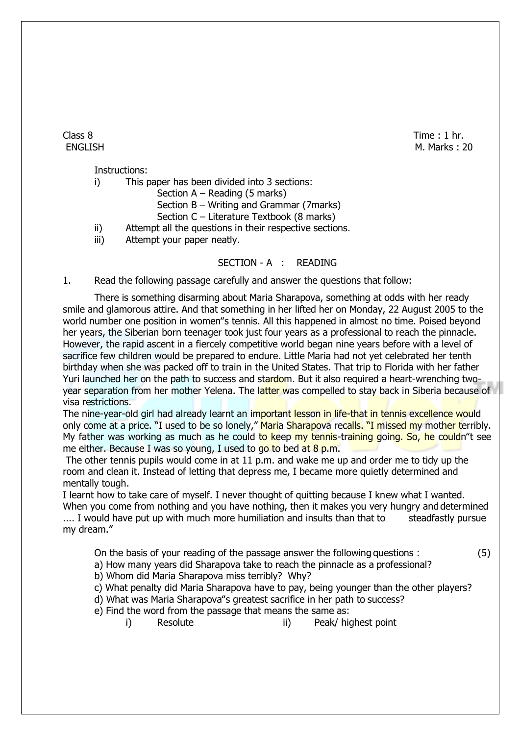Class 8 Time : 1 hr. ENGLISH M. Marks : 20

Instructions:

i) This paper has been divided into 3 sections:

Section A – Reading (5 marks)

Section B – Writing and Grammar (7marks)

- Section C Literature Textbook (8 marks)
- ii) Attempt all the questions in their respective sections.
- iii) Attempt your paper neatly.

## SECTION - A : READING

1. Read the following passage carefully and answer the questions that follow:

There is something disarming about Maria Sharapova, something at odds with her ready smile and glamorous attire. And that something in her lifted her on Monday, 22 August 2005 to the world number one position in women"s tennis. All this happened in almost no time. Poised beyond her years, the Siberian born teenager took just four years as a professional to reach the pinnacle. However, the rapid ascent in a fiercely competitive world began nine years before with a level of sacrifice few children would be prepared to endure. Little Maria had not yet celebrated her tenth birthday when she was packed off to train in the United States. That trip to Florida with her father Yuri launched her on the path to success and stardom. But it also required a heart-wrenching twoyear separation from her mother Yelena. The latter was compelled to stay back in Siberia because of visa restrictions.

The nine-year-old girl had already learnt an important lesson in life-that in tennis excellence would only come at a price. "I used to be so lonely," Maria Sharapova recalls. "I missed my mother terribly. My father was working as much as he could to keep my tennis-training going. So, he couldn''t see me either. Because I was so young, I used to go to bed at 8 p.m.

The other tennis pupils would come in at 11 p.m. and wake me up and order me to tidy up the room and clean it. Instead of letting that depress me, I became more quietly determined and mentally tough.

I learnt how to take care of myself. I never thought of quitting because I knew what I wanted.

When you come from nothing and you have nothing, then it makes you very hungry and determined .... I would have put up with much more humiliation and insults than that to steadfastly pursue my dream."

On the basis of your reading of the passage answer the following questions : (5)

- a) How many years did Sharapova take to reach the pinnacle as a professional?
- b) Whom did Maria Sharapova miss terribly? Why?
- c) What penalty did Maria Sharapova have to pay, being younger than the other players?
- d) What was Maria Sharapova"s greatest sacrifice in her path to success?
- e) Find the word from the passage that means the same as:
	- i) Resolute ii) Peak/ highest point